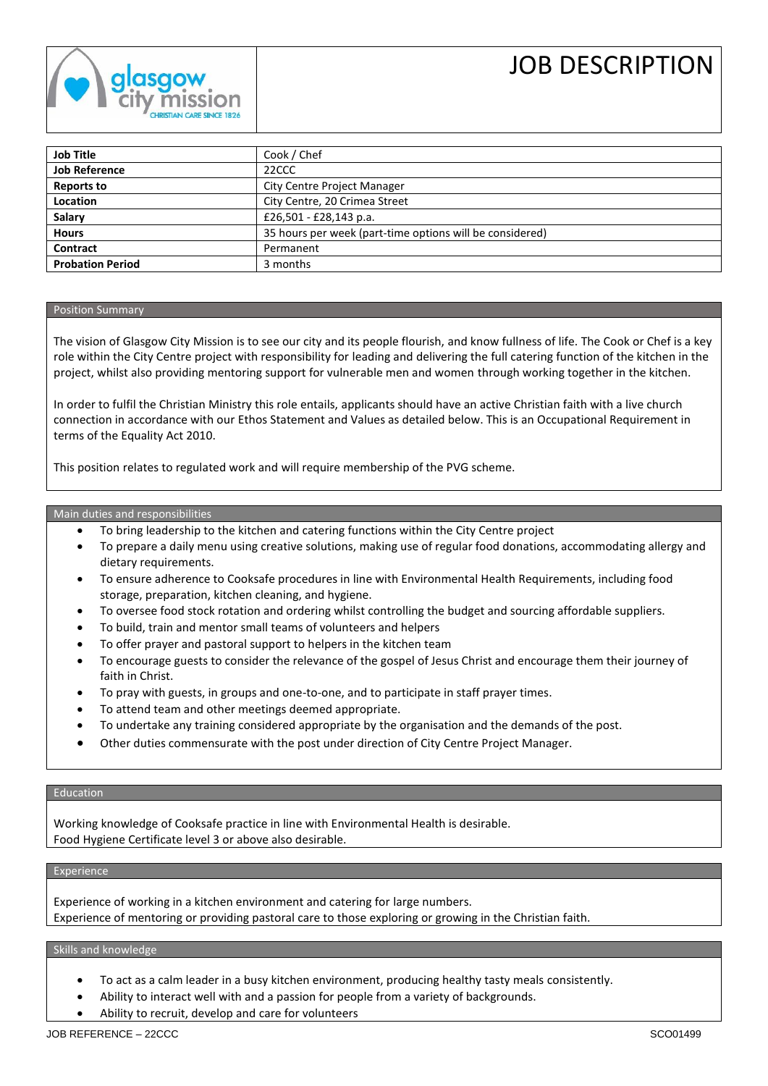

# JOB DESCRIPTION

| <b>Job Title</b>        | Cook / Chef                                              |
|-------------------------|----------------------------------------------------------|
| <b>Job Reference</b>    | 22CCC                                                    |
| <b>Reports to</b>       | <b>City Centre Project Manager</b>                       |
| Location                | City Centre, 20 Crimea Street                            |
| <b>Salary</b>           | £26,501 - £28,143 p.a.                                   |
| <b>Hours</b>            | 35 hours per week (part-time options will be considered) |
| <b>Contract</b>         | Permanent                                                |
| <b>Probation Period</b> | 3 months                                                 |

#### Position Summary

The vision of Glasgow City Mission is to see our city and its people flourish, and know fullness of life. The Cook or Chef is a key role within the City Centre project with responsibility for leading and delivering the full catering function of the kitchen in the project, whilst also providing mentoring support for vulnerable men and women through working together in the kitchen.

In order to fulfil the Christian Ministry this role entails, applicants should have an active Christian faith with a live church connection in accordance with our Ethos Statement and Values as detailed below. This is an Occupational Requirement in terms of the Equality Act 2010.

This position relates to regulated work and will require membership of the PVG scheme.

#### Main duties and responsibilities

- To bring leadership to the kitchen and catering functions within the City Centre project
- To prepare a daily menu using creative solutions, making use of regular food donations, accommodating allergy and dietary requirements.
- To ensure adherence to Cooksafe procedures in line with Environmental Health Requirements, including food storage, preparation, kitchen cleaning, and hygiene.
- To oversee food stock rotation and ordering whilst controlling the budget and sourcing affordable suppliers.
- To build, train and mentor small teams of volunteers and helpers
- To offer prayer and pastoral support to helpers in the kitchen team
- To encourage guests to consider the relevance of the gospel of Jesus Christ and encourage them their journey of faith in Christ.
- To pray with guests, in groups and one-to-one, and to participate in staff prayer times.
- To attend team and other meetings deemed appropriate.
- To undertake any training considered appropriate by the organisation and the demands of the post.
- Other duties commensurate with the post under direction of City Centre Project Manager.

# Education

Working knowledge of Cooksafe practice in line with Environmental Health is desirable. Food Hygiene Certificate level 3 or above also desirable.

# Experience

Experience of working in a kitchen environment and catering for large numbers. Experience of mentoring or providing pastoral care to those exploring or growing in the Christian faith.

# Skills and knowledge

- To act as a calm leader in a busy kitchen environment, producing healthy tasty meals consistently.
- Ability to interact well with and a passion for people from a variety of backgrounds.
- Ability to recruit, develop and care for volunteers